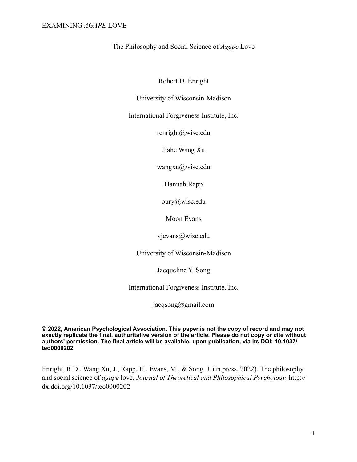The Philosophy and Social Science of *Agape* Love

Robert D. Enright

University of Wisconsin-Madison

International Forgiveness Institute, Inc.

[renright@wisc.edu](mailto:renright@wisc.edu)

Jiahe Wang Xu

wangxu@wisc.edu

Hannah Rapp

oury@wisc.edu

Moon Evans

yjevans@wisc.edu

University of Wisconsin-Madison

Jacqueline Y. Song

International Forgiveness Institute, Inc.

[jacqsong@gmail.com](mailto:jacqsong@gmail.com)

**© 2022, American Psychological Association. This paper is not the copy of record and may not exactly replicate the final, authoritative version of the article. Please do not copy or cite without authors' permission. The final article will be available, upon publication, via its DOI: 10.1037/ teo0000202**

Enright, R.D., Wang Xu, J., Rapp, H., Evans, M., & Song, J. (in press, 2022). The philosophy and social science of *agape* love. *Journal of Theoretical and Philosophical Psychology.* http:// dx.doi.org/10.1037/teo0000202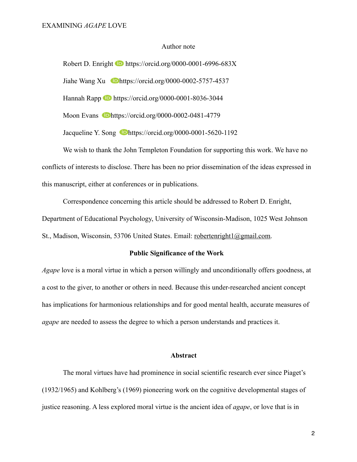#### Author note

Robert D. Enright **b** https://orcid.org/0000-0001-6996-683X Jiahe Wang Xu **b**https://orcid.org/0000-0002-5757-4537 Hannah Rapp https://orcid.org/0000-0001-8036-3044 Moon Evans **b**<https://orcid.org/0000-0002-0481-4779> Jacqueline Y. Song **D**https://orcid.org/0000-0001-5620-1192

We wish to thank the John Templeton Foundation for supporting this work. We have no conflicts of interests to disclose. There has been no prior dissemination of the ideas expressed in this manuscript, either at conferences or in publications.

Correspondence concerning this article should be addressed to Robert D. Enright, Department of Educational Psychology, University of Wisconsin-Madison, 1025 West Johnson St., Madison, Wisconsin, 53706 United States. Email: [robertenright1@gmail.com.](mailto:robertenright1@gmail.com)

#### **Public Significance of the Work**

*Agape* love is a moral virtue in which a person willingly and unconditionally offers goodness, at a cost to the giver, to another or others in need. Because this under-researched ancient concept has implications for harmonious relationships and for good mental health, accurate measures of *agape* are needed to assess the degree to which a person understands and practices it.

#### **Abstract**

The moral virtues have had prominence in social scientific research ever since Piaget's (1932/1965) and Kohlberg's (1969) pioneering work on the cognitive developmental stages of justice reasoning. A less explored moral virtue is the ancient idea of *agape*, or love that is in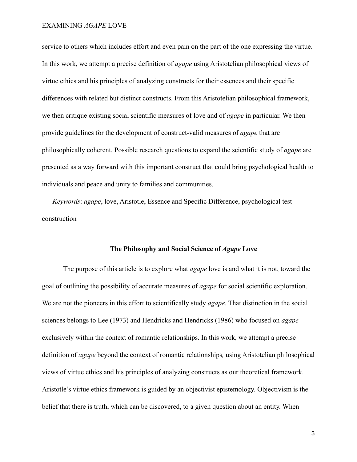service to others which includes effort and even pain on the part of the one expressing the virtue. In this work, we attempt a precise definition of *agape* using Aristotelian philosophical views of virtue ethics and his principles of analyzing constructs for their essences and their specific differences with related but distinct constructs. From this Aristotelian philosophical framework, we then critique existing social scientific measures of love and of *agape* in particular. We then provide guidelines for the development of construct-valid measures of *agape* that are philosophically coherent. Possible research questions to expand the scientific study of *agape* are presented as a way forward with this important construct that could bring psychological health to individuals and peace and unity to families and communities.

*Keywords*: *agape*, love, Aristotle, Essence and Specific Difference, psychological test construction

# **The Philosophy and Social Science of** *Agape* **Love**

The purpose of this article is to explore what *agape* love is and what it is not, toward the goal of outlining the possibility of accurate measures of *agape* for social scientific exploration. We are not the pioneers in this effort to scientifically study *agape*. That distinction in the social sciences belongs to Lee (1973) and Hendricks and Hendricks (1986) who focused on *agape*  exclusively within the context of romantic relationships. In this work, we attempt a precise definition of *agape* beyond the context of romantic relationships*,* using Aristotelian philosophical views of virtue ethics and his principles of analyzing constructs as our theoretical framework. Aristotle's virtue ethics framework is guided by an objectivist epistemology. Objectivism is the belief that there is truth, which can be discovered, to a given question about an entity. When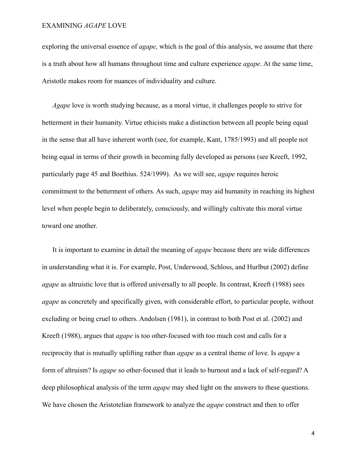exploring the universal essence of *agape,* which is the goal of this analysis, we assume that there is a truth about how all humans throughout time and culture experience *agape*. At the same time, Aristotle makes room for nuances of individuality and culture.

*Agape* love is worth studying because, as a moral virtue, it challenges people to strive for betterment in their humanity. Virtue ethicists make a distinction between all people being equal in the sense that all have inherent worth (see, for example, Kant, 1785/1993) and all people not being equal in terms of their growth in becoming fully developed as persons (see Kreeft, 1992, particularly page 45 and Boethius. 524/1999). As we will see, *agape* requires heroic commitment to the betterment of others. As such, *agape* may aid humanity in reaching its highest level when people begin to deliberately, consciously, and willingly cultivate this moral virtue toward one another.

It is important to examine in detail the meaning of *agape* because there are wide differences in understanding what it is. For example, Post, Underwood, Schloss, and Hurlbut (2002) define *agape* as altruistic love that is offered universally to all people. In contrast, Kreeft (1988) sees *agape* as concretely and specifically given, with considerable effort, to particular people, without excluding or being cruel to others. Andolsen (1981), in contrast to both Post et al. (2002) and Kreeft (1988), argues that *agape* is too other-focused with too much cost and calls for a reciprocity that is mutually uplifting rather than *agape* as a central theme of love. Is *agape* a form of altruism? Is *agape* so other-focused that it leads to burnout and a lack of self-regard? A deep philosophical analysis of the term *agape* may shed light on the answers to these questions. We have chosen the Aristotelian framework to analyze the *agape* construct and then to offer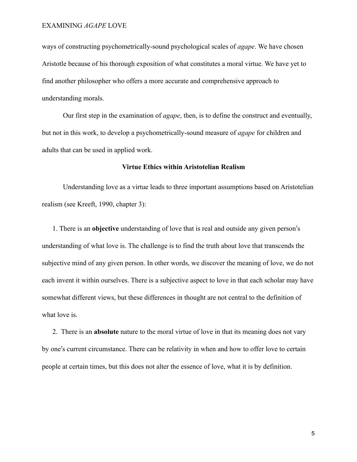ways of constructing psychometrically-sound psychological scales of *agape*. We have chosen Aristotle because of his thorough exposition of what constitutes a moral virtue. We have yet to find another philosopher who offers a more accurate and comprehensive approach to understanding morals.

Our first step in the examination of *agape*, then, is to define the construct and eventually, but not in this work, to develop a psychometrically-sound measure of *agape* for children and adults that can be used in applied work.

# **Virtue Ethics within Aristotelian Realism**

Understanding love as a virtue leads to three important assumptions based on Aristotelian realism (see Kreeft, 1990, chapter 3):

1. There is an **objective** understanding of love that is real and outside any given person's understanding of what love is. The challenge is to find the truth about love that transcends the subjective mind of any given person. In other words, we discover the meaning of love, we do not each invent it within ourselves. There is a subjective aspect to love in that each scholar may have somewhat different views, but these differences in thought are not central to the definition of what love is.

2. There is an **absolute** nature to the moral virtue of love in that its meaning does not vary by one's current circumstance. There can be relativity in when and how to offer love to certain people at certain times, but this does not alter the essence of love, what it is by definition.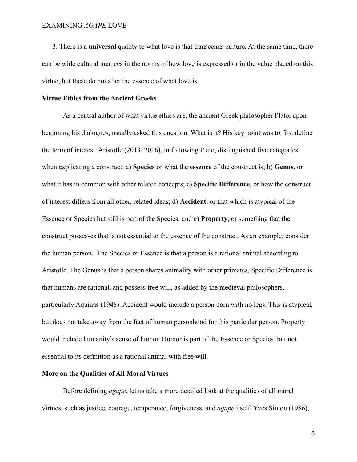3. There is a **universal** quality to what love is that transcends culture. At the same time, there can be wide cultural nuances in the norms of how love is expressed or in the value placed on this virtue, but these do not alter the essence of what love is.

#### **Virtue Ethics from the Ancient Greeks**

As a central author of what virtue ethics are, the ancient Greek philosopher Plato, upon beginning his dialogues, usually asked this question: What is it? His key point was to first define the term of interest. Aristotle (2013, 2016), in following Plato, distinguished five categories when explicating a construct: a) **Species** or what the **essence** of the construct is; b) **Genus**, or what it has in common with other related concepts; c) **Specific Difference**, or how the construct of interest differs from all other, related ideas; d) **Accident**, or that which is atypical of the Essence or Species but still is part of the Species; and e) **Property**, or something that the construct possesses that is not essential to the essence of the construct. As an example, consider the human person. The Species or Essence is that a person is a rational animal according to Aristotle. The Genus is that a person shares animality with other primates. Specific Difference is that humans are rational, and possess free will, as added by the medieval philosophers, particularly Aquinas (1948). Accident would include a person born with no legs. This is atypical, but does not take away from the fact of human personhood for this particular person. Property would include humanity's sense of humor. Humor is part of the Essence or Species, but not essential to its definition as a rational animal with free will.

#### **More on the Qualities of All Moral Virtues**

Before defining *agape*, let us take a more detailed look at the qualities of all moral virtues, such as justice, courage, temperance, forgiveness, and *agape* itself. Yves Simon (1986),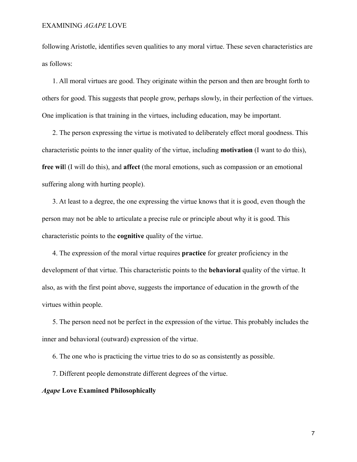following Aristotle, identifies seven qualities to any moral virtue. These seven characteristics are as follows:

1. All moral virtues are good. They originate within the person and then are brought forth to others for good. This suggests that people grow, perhaps slowly, in their perfection of the virtues. One implication is that training in the virtues, including education, may be important.

2. The person expressing the virtue is motivated to deliberately effect moral goodness. This characteristic points to the inner quality of the virtue, including **motivation** (I want to do this), **free wil**l (I will do this), and **affect** (the moral emotions, such as compassion or an emotional suffering along with hurting people).

3. At least to a degree, the one expressing the virtue knows that it is good, even though the person may not be able to articulate a precise rule or principle about why it is good. This characteristic points to the **cognitive** quality of the virtue.

4. The expression of the moral virtue requires **practice** for greater proficiency in the development of that virtue. This characteristic points to the **behavioral** quality of the virtue. It also, as with the first point above, suggests the importance of education in the growth of the virtues within people.

5. The person need not be perfect in the expression of the virtue. This probably includes the inner and behavioral (outward) expression of the virtue.

6. The one who is practicing the virtue tries to do so as consistently as possible.

7. Different people demonstrate different degrees of the virtue.

#### *Agape* **Love Examined Philosophically**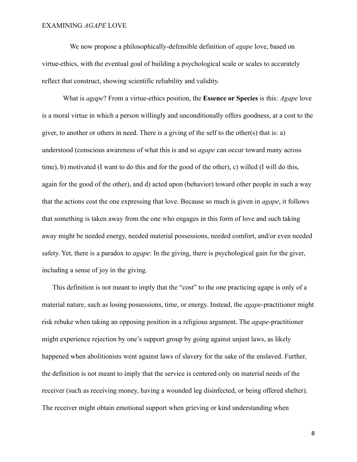We now propose a philosophically-defensible definition of *agape* love, based on virtue-ethics, with the eventual goal of building a psychological scale or scales to accurately reflect that construct, showing scientific reliability and validity.

What is *agape*? From a virtue-ethics position, the **Essence or Species** is this: *Agape* love is a moral virtue in which a person willingly and unconditionally offers goodness, at a cost to the giver, to another or others in need. There is a giving of the self to the other(s) that is: a) understood (conscious awareness of what this is and so *agape* can occur toward many across time), b) motivated (I want to do this and for the good of the other), c) willed (I will do this, again for the good of the other), and d) acted upon (behavior) toward other people in such a way that the actions cost the one expressing that love. Because so much is given in *agape*, it follows that something is taken away from the one who engages in this form of love and such taking away might be needed energy, needed material possessions, needed comfort, and/or even needed safety. Yet, there is a paradox to *agape*: In the giving, there is psychological gain for the giver, including a sense of joy in the giving.

This definition is not meant to imply that the "cost" to the one practicing agape is only of a material nature, such as losing possessions, time, or energy. Instead, the *agape*-practitioner might risk rebuke when taking an opposing position in a religious argument. The *agape*-practitioner might experience rejection by one's support group by going against unjust laws, as likely happened when abolitionists went against laws of slavery for the sake of the enslaved. Further, the definition is not meant to imply that the service is centered only on material needs of the receiver (such as receiving money, having a wounded leg disinfected, or being offered shelter). The receiver might obtain emotional support when grieving or kind understanding when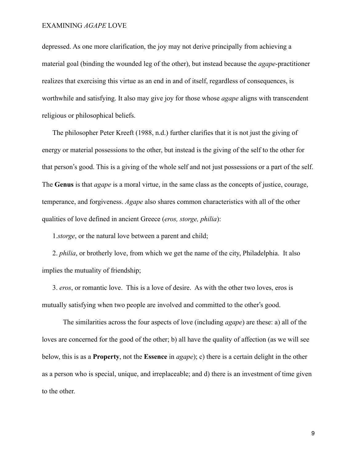depressed. As one more clarification, the joy may not derive principally from achieving a material goal (binding the wounded leg of the other), but instead because the *agape*-practitioner realizes that exercising this virtue as an end in and of itself, regardless of consequences, is worthwhile and satisfying. It also may give joy for those whose *agape* aligns with transcendent religious or philosophical beliefs.

The philosopher Peter Kreeft (1988, n.d.) further clarifies that it is not just the giving of energy or material possessions to the other, but instead is the giving of the self to the other for that person's good. This is a giving of the whole self and not just possessions or a part of the self. The **Genus** is that *agape* is a moral virtue, in the same class as the concepts of justice, courage, temperance, and forgiveness. *Agape* also shares common characteristics with all of the other qualities of love defined in ancient Greece (*eros, storge, philia*):

1.*storge*, or the natural love between a parent and child;

2. *philia*, or brotherly love, from which we get the name of the city, Philadelphia. It also implies the mutuality of friendship;

3. *eros*, or romantic love. This is a love of desire. As with the other two loves, eros is mutually satisfying when two people are involved and committed to the other's good.

The similarities across the four aspects of love (including *agape*) are these: a) all of the loves are concerned for the good of the other; b) all have the quality of affection (as we will see below, this is as a **Property**, not the **Essence** in *agape*); c) there is a certain delight in the other as a person who is special, unique, and irreplaceable; and d) there is an investment of time given to the other.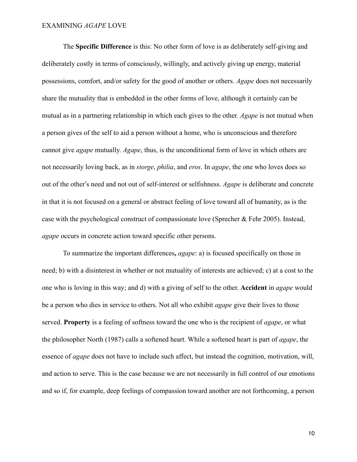The **Specific Difference** is this: No other form of love is as deliberately self-giving and deliberately costly in terms of consciously, willingly, and actively giving up energy, material possessions, comfort, and/or safety for the good of another or others. *Agape* does not necessarily share the mutuality that is embedded in the other forms of love, although it certainly can be mutual as in a partnering relationship in which each gives to the other. *Agape* is not mutual when a person gives of the self to aid a person without a home, who is unconscious and therefore cannot give *agape* mutually. *Agape*, thus, is the unconditional form of love in which others are not necessarily loving back, as in *storge*, *philia*, and *eros*. In *agape*, the one who loves does so out of the other's need and not out of self-interest or selfishness. *Agape* is deliberate and concrete in that it is not focused on a general or abstract feeling of love toward all of humanity, as is the case with the psychological construct of compassionate love (Sprecher & Fehr 2005). Instead, *agape* occurs in concrete action toward specific other persons.

To summarize the important differences**,** *agape*: a) is focused specifically on those in need; b) with a disinterest in whether or not mutuality of interests are achieved; c) at a cost to the one who is loving in this way; and d) with a giving of self to the other. **Accident** in *agape* would be a person who dies in service to others. Not all who exhibit *agape* give their lives to those served. **Property** is a feeling of softness toward the one who is the recipient of *agape*, or what the philosopher North (1987) calls a softened heart. While a softened heart is part of *agape*, the essence of *agape* does not have to include such affect, but instead the cognition, motivation, will, and action to serve. This is the case because we are not necessarily in full control of our emotions and so if, for example, deep feelings of compassion toward another are not forthcoming, a person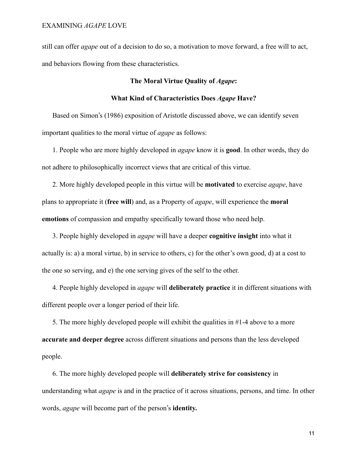still can offer *agape* out of a decision to do so, a motivation to move forward, a free will to act, and behaviors flowing from these characteristics.

# **The Moral Virtue Quality of** *Agape***:**

#### **What Kind of Characteristics Does** *Agape* **Have?**

Based on Simon's (1986) exposition of Aristotle discussed above, we can identify seven important qualities to the moral virtue of *agape* as follows:

1. People who are more highly developed in *agape* know it is **good**. In other words, they do not adhere to philosophically incorrect views that are critical of this virtue.

2. More highly developed people in this virtue will be **motivated** to exercise *agape*, have plans to appropriate it (**free will**) and, as a Property of *agape*, will experience the **moral emotions** of compassion and empathy specifically toward those who need help.

3. People highly developed in *agape* will have a deeper **cognitive insight** into what it actually is: a) a moral virtue, b) in service to others, c) for the other's own good, d) at a cost to the one so serving, and e) the one serving gives of the self to the other.

4. People highly developed in *agape* will **deliberately practice** it in different situations with different people over a longer period of their life.

5. The more highly developed people will exhibit the qualities in #1-4 above to a more **accurate and deeper degree** across different situations and persons than the less developed people.

6. The more highly developed people will **deliberately strive for consistency** in understanding what *agape* is and in the practice of it across situations, persons, and time. In other words, *agape* will become part of the person's **identity.**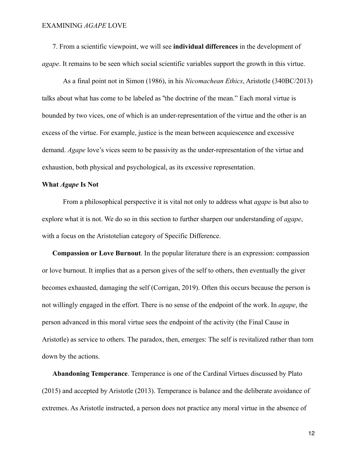7. From a scientific viewpoint, we will see **individual differences** in the development of *agape*. It remains to be seen which social scientific variables support the growth in this virtue.

As a final point not in Simon (1986), in his *Nicomachean Ethics*, Aristotle (340BC/2013) talks about what has come to be labeled as "the doctrine of the mean." Each moral virtue is bounded by two vices, one of which is an under-representation of the virtue and the other is an excess of the virtue. For example, justice is the mean between acquiescence and excessive demand. *Agape* love's vices seem to be passivity as the under-representation of the virtue and exhaustion, both physical and psychological, as its excessive representation.

#### **What** *Agape* **Is Not**

From a philosophical perspective it is vital not only to address what *agape* is but also to explore what it is not. We do so in this section to further sharpen our understanding of *agape*, with a focus on the Aristotelian category of Specific Difference.

**Compassion or Love Burnout**. In the popular literature there is an expression: compassion or love burnout. It implies that as a person gives of the self to others, then eventually the giver becomes exhausted, damaging the self (Corrigan, 2019). Often this occurs because the person is not willingly engaged in the effort. There is no sense of the endpoint of the work. In *agape*, the person advanced in this moral virtue sees the endpoint of the activity (the Final Cause in Aristotle) as service to others. The paradox, then, emerges: The self is revitalized rather than torn down by the actions.

**Abandoning Temperance**. Temperance is one of the Cardinal Virtues discussed by Plato (2015) and accepted by Aristotle (2013). Temperance is balance and the deliberate avoidance of extremes. As Aristotle instructed, a person does not practice any moral virtue in the absence of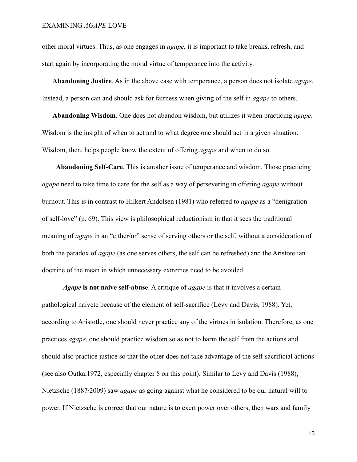other moral virtues. Thus, as one engages in *agape*, it is important to take breaks, refresh, and start again by incorporating the moral virtue of temperance into the activity.

**Abandoning Justice**. As in the above case with temperance, a person does not isolate *agape*. Instead, a person can and should ask for fairness when giving of the self in *agape* to others.

**Abandoning Wisdom**. One does not abandon wisdom, but utilizes it when practicing *agape*. Wisdom is the insight of when to act and to what degree one should act in a given situation. Wisdom, then, helps people know the extent of offering *agape* and when to do so.

 **Abandoning Self-Care**. This is another issue of temperance and wisdom. Those practicing *agape* need to take time to care for the self as a way of persevering in offering *agape* without burnout. This is in contrast to Hilkert Andolsen (1981) who referred to *agape* as a "denigration of self-love" (p. 69). This view is philosophical reductionism in that it sees the traditional meaning of *agape* in an "either/or" sense of serving others or the self, without a consideration of both the paradox of *agape* (as one serves others, the self can be refreshed) and the Aristotelian doctrine of the mean in which unnecessary extremes need to be avoided.

*Agape* **is not naive self-abuse**. A critique of *agape* is that it involves a certain pathological naivete because of the element of self-sacrifice (Levy and Davis, 1988). Yet, according to Aristotle, one should never practice any of the virtues in isolation. Therefore, as one practices *agape*, one should practice wisdom so as not to harm the self from the actions and should also practice justice so that the other does not take advantage of the self-sacrificial actions (see also Outka,1972, especially chapter 8 on this point). Similar to Levy and Davis (1988), Nietzsche (1887/2009) saw *agape* as going against what he considered to be our natural will to power. If Nietzsche is correct that our nature is to exert power over others, then wars and family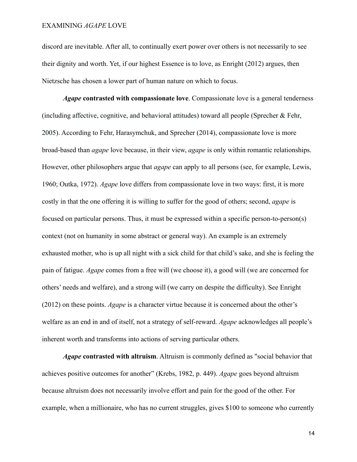discord are inevitable. After all, to continually exert power over others is not necessarily to see their dignity and worth. Yet, if our highest Essence is to love, as Enright (2012) argues, then Nietzsche has chosen a lower part of human nature on which to focus.

*Agape* **contrasted with compassionate love**. Compassionate love is a general tenderness (including affective, cognitive, and behavioral attitudes) toward all people (Sprecher & Fehr, 2005). According to Fehr, Harasymchuk, and Sprecher (2014), compassionate love is more broad-based than *agape* love because, in their view, *agape* is only within romantic relationships. However, other philosophers argue that *agape* can apply to all persons (see, for example, Lewis, 1960; Outka, 1972). *Agape* love differs from compassionate love in two ways: first, it is more costly in that the one offering it is willing to suffer for the good of others; second, *agape* is focused on particular persons. Thus, it must be expressed within a specific person-to-person(s) context (not on humanity in some abstract or general way). An example is an extremely exhausted mother, who is up all night with a sick child for that child's sake, and she is feeling the pain of fatigue. *Agape* comes from a free will (we choose it), a good will (we are concerned for others' needs and welfare), and a strong will (we carry on despite the difficulty). See Enright (2012) on these points. *Agape* is a character virtue because it is concerned about the other's welfare as an end in and of itself, not a strategy of self-reward. *Agape* acknowledges all people's inherent worth and transforms into actions of serving particular others.

*Agape* **contrasted with altruism**. Altruism is commonly defined as "social behavior that achieves positive outcomes for another" (Krebs, 1982, p. 449). *Agape* goes beyond altruism because altruism does not necessarily involve effort and pain for the good of the other. For example, when a millionaire, who has no current struggles, gives \$100 to someone who currently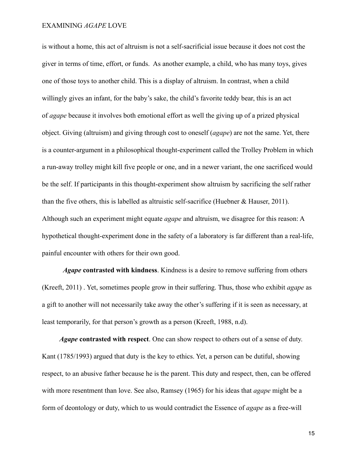is without a home, this act of altruism is not a self-sacrificial issue because it does not cost the giver in terms of time, effort, or funds. As another example, a child, who has many toys, gives one of those toys to another child. This is a display of altruism. In contrast, when a child willingly gives an infant, for the baby's sake, the child's favorite teddy bear, this is an act of *agape* because it involves both emotional effort as well the giving up of a prized physical object. Giving (altruism) and giving through cost to oneself (*agape*) are not the same. Yet, there is a counter-argument in a philosophical thought-experiment called the Trolley Problem in which a run-away trolley might kill five people or one, and in a newer variant, the one sacrificed would be the self. If participants in this thought-experiment show altruism by sacrificing the self rather than the five others, this is labelled as altruistic self-sacrifice (Huebner & Hauser, 2011). Although such an experiment might equate *agape* and altruism, we disagree for this reason: A hypothetical thought-experiment done in the safety of a laboratory is far different than a real-life, painful encounter with others for their own good.

*Agape* **contrasted with kindness**. Kindness is a desire to remove suffering from others (Kreeft, 2011) . Yet, sometimes people grow in their suffering. Thus, those who exhibit *agape* as a gift to another will not necessarily take away the other's suffering if it is seen as necessary, at least temporarily, for that person's growth as a person (Kreeft, 1988, n.d).

 *Agape* **contrasted with respect**. One can show respect to others out of a sense of duty. Kant (1785/1993) argued that duty is the key to ethics. Yet, a person can be dutiful, showing respect, to an abusive father because he is the parent. This duty and respect, then, can be offered with more resentment than love. See also, Ramsey (1965) for his ideas that *agape* might be a form of deontology or duty, which to us would contradict the Essence of *agape* as a free-will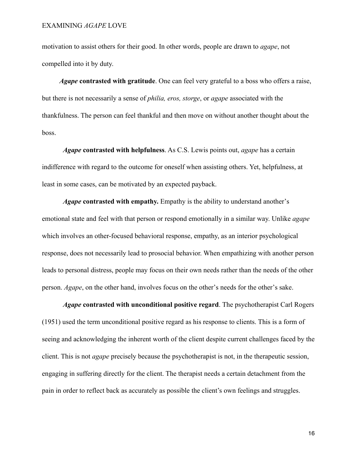motivation to assist others for their good. In other words, people are drawn to *agape*, not compelled into it by duty.

 *Agape* **contrasted with gratitude**. One can feel very grateful to a boss who offers a raise, but there is not necessarily a sense of *philia, eros, storge*, or *agape* associated with the thankfulness. The person can feel thankful and then move on without another thought about the boss.

*Agape* **contrasted with helpfulness**. As C.S. Lewis points out, *agape* has a certain indifference with regard to the outcome for oneself when assisting others. Yet, helpfulness, at least in some cases, can be motivated by an expected payback.

*Agape* **contrasted with empathy.** Empathy is the ability to understand another's emotional state and feel with that person or respond emotionally in a similar way. Unlike *agape*  which involves an other-focused behavioral response, empathy, as an interior psychological response, does not necessarily lead to prosocial behavior. When empathizing with another person leads to personal distress, people may focus on their own needs rather than the needs of the other person. *Agape*, on the other hand, involves focus on the other's needs for the other's sake.

*Agape* **contrasted with unconditional positive regard**. The psychotherapist Carl Rogers (1951) used the term unconditional positive regard as his response to clients. This is a form of seeing and acknowledging the inherent worth of the client despite current challenges faced by the client. This is not *agape* precisely because the psychotherapist is not, in the therapeutic session, engaging in suffering directly for the client. The therapist needs a certain detachment from the pain in order to reflect back as accurately as possible the client's own feelings and struggles.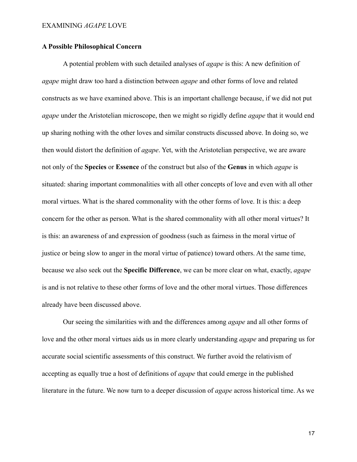# **A Possible Philosophical Concern**

A potential problem with such detailed analyses of *agape* is this: A new definition of *agape* might draw too hard a distinction between *agape* and other forms of love and related constructs as we have examined above. This is an important challenge because, if we did not put *agape* under the Aristotelian microscope, then we might so rigidly define *agape* that it would end up sharing nothing with the other loves and similar constructs discussed above. In doing so, we then would distort the definition of *agape*. Yet, with the Aristotelian perspective, we are aware not only of the **Species** or **Essence** of the construct but also of the **Genus** in which *agape* is situated: sharing important commonalities with all other concepts of love and even with all other moral virtues. What is the shared commonality with the other forms of love. It is this: a deep concern for the other as person. What is the shared commonality with all other moral virtues? It is this: an awareness of and expression of goodness (such as fairness in the moral virtue of justice or being slow to anger in the moral virtue of patience) toward others. At the same time, because we also seek out the **Specific Difference**, we can be more clear on what, exactly, *agape* is and is not relative to these other forms of love and the other moral virtues. Those differences already have been discussed above.

Our seeing the similarities with and the differences among *agape* and all other forms of love and the other moral virtues aids us in more clearly understanding *agape* and preparing us for accurate social scientific assessments of this construct. We further avoid the relativism of accepting as equally true a host of definitions of *agape* that could emerge in the published literature in the future. We now turn to a deeper discussion of *agape* across historical time. As we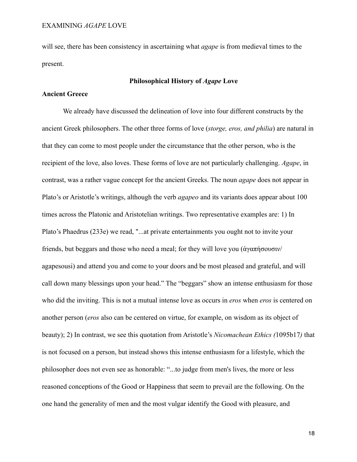will see, there has been consistency in ascertaining what *agape* is from medieval times to the present.

# **Philosophical History of** *Agape* **Love**

# **Ancient Greece**

We already have discussed the delineation of love into four different constructs by the ancient Greek philosophers. The other three forms of love (*storge, eros, and philia*) are natural in that they can come to most people under the circumstance that the other person, who is the recipient of the love, also loves. These forms of love are not particularly challenging. *Agape*, in contrast, was a rather vague concept for the ancient Greeks. The noun *agape* does not appear in Plato's or Aristotle's writings, although the verb *agapeo* and its variants does appear about 100 times across the Platonic and Aristotelian writings. Two representative examples are: 1) In Plato's Phaedrus (233e) we read, "...at private entertainments you ought not to invite your friends, but beggars and those who need a meal; for they will love you (ἀγαπήσουσιν/ agapesousi) and attend you and come to your doors and be most pleased and grateful, and will call down many blessings upon your head." The "beggars" show an intense enthusiasm for those who did the inviting. This is not a mutual intense love as occurs in *eros* when *eros* is centered on another person (*eros* also can be centered on virtue, for example, on wisdom as its object of beauty); 2) In contrast, we see this quotation from Aristotle's *Nicomachean Ethics (*1095b17*)* that is not focused on a person, but instead shows this intense enthusiasm for a lifestyle, which the philosopher does not even see as honorable: "...to judge from men's lives, the more or less reasoned conceptions of the Good or Happiness that seem to prevail are the following. On the one hand the generality of men and the most vulgar identify the Good with pleasure, and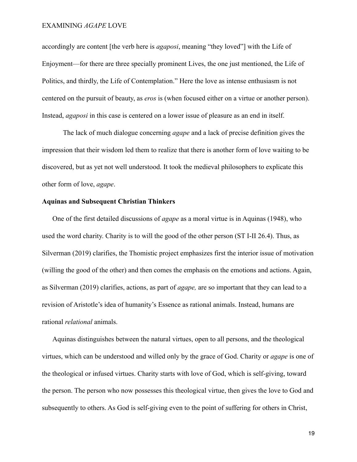accordingly are content [the verb here is *agaposi*, meaning "they loved"] with the Life of Enjoyment—for there are three specially prominent Lives, the one just mentioned, the Life of Politics, and thirdly, the Life of Contemplation." Here the love as intense enthusiasm is not centered on the pursuit of beauty, as *eros* is (when focused either on a virtue or another person). Instead, *agaposi* in this case is centered on a lower issue of pleasure as an end in itself.

The lack of much dialogue concerning *agape* and a lack of precise definition gives the impression that their wisdom led them to realize that there is another form of love waiting to be discovered, but as yet not well understood. It took the medieval philosophers to explicate this other form of love, *agape*.

# **Aquinas and Subsequent Christian Thinkers**

One of the first detailed discussions of *agape* as a moral virtue is in Aquinas (1948), who used the word charity. Charity is to will the good of the other person (ST I-II 26.4). Thus, as Silverman (2019) clarifies, the Thomistic project emphasizes first the interior issue of motivation (willing the good of the other) and then comes the emphasis on the emotions and actions. Again, as Silverman (2019) clarifies, actions, as part of *agape,* are so important that they can lead to a revision of Aristotle's idea of humanity's Essence as rational animals. Instead, humans are rational *relational* animals.

Aquinas distinguishes between the natural virtues, open to all persons, and the theological virtues, which can be understood and willed only by the grace of God. Charity or *agape* is one of the theological or infused virtues. Charity starts with love of God, which is self-giving, toward the person. The person who now possesses this theological virtue, then gives the love to God and subsequently to others. As God is self-giving even to the point of suffering for others in Christ,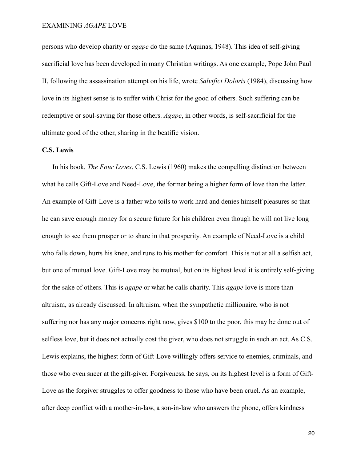persons who develop charity or *agape* do the same (Aquinas, 1948). This idea of self-giving sacrificial love has been developed in many Christian writings. As one example, Pope John Paul II, following the assassination attempt on his life, wrote *Salvifici Doloris* (1984), discussing how love in its highest sense is to suffer with Christ for the good of others. Such suffering can be redemptive or soul-saving for those others. *Agape*, in other words, is self-sacrificial for the ultimate good of the other, sharing in the beatific vision.

#### **C.S. Lewis**

In his book, *The Four Loves*, C.S. Lewis (1960) makes the compelling distinction between what he calls Gift-Love and Need-Love, the former being a higher form of love than the latter. An example of Gift-Love is a father who toils to work hard and denies himself pleasures so that he can save enough money for a secure future for his children even though he will not live long enough to see them prosper or to share in that prosperity. An example of Need-Love is a child who falls down, hurts his knee, and runs to his mother for comfort. This is not at all a selfish act, but one of mutual love. Gift-Love may be mutual, but on its highest level it is entirely self-giving for the sake of others. This is *agape* or what he calls charity. This *agape* love is more than altruism, as already discussed. In altruism, when the sympathetic millionaire, who is not suffering nor has any major concerns right now, gives \$100 to the poor, this may be done out of selfless love, but it does not actually cost the giver, who does not struggle in such an act. As C.S. Lewis explains, the highest form of Gift-Love willingly offers service to enemies, criminals, and those who even sneer at the gift-giver. Forgiveness, he says, on its highest level is a form of Gift-Love as the forgiver struggles to offer goodness to those who have been cruel. As an example, after deep conflict with a mother-in-law, a son-in-law who answers the phone, offers kindness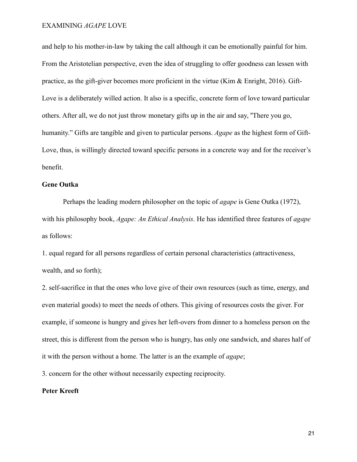and help to his mother-in-law by taking the call although it can be emotionally painful for him. From the Aristotelian perspective, even the idea of struggling to offer goodness can lessen with practice, as the gift-giver becomes more proficient in the virtue (Kim & Enright, 2016). Gift-Love is a deliberately willed action. It also is a specific, concrete form of love toward particular others. After all, we do not just throw monetary gifts up in the air and say, "There you go, humanity." Gifts are tangible and given to particular persons. *Agape* as the highest form of Gift-Love, thus, is willingly directed toward specific persons in a concrete way and for the receiver's benefit.

# **Gene Outka**

Perhaps the leading modern philosopher on the topic of *agape* is Gene Outka (1972), with his philosophy book, *Agape: An Ethical Analysis*. He has identified three features of *agape* as follows:

1. equal regard for all persons regardless of certain personal characteristics (attractiveness, wealth, and so forth);

2. self-sacrifice in that the ones who love give of their own resources (such as time, energy, and even material goods) to meet the needs of others. This giving of resources costs the giver. For example, if someone is hungry and gives her left-overs from dinner to a homeless person on the street, this is different from the person who is hungry, has only one sandwich, and shares half of it with the person without a home. The latter is an the example of *agape*;

3. concern for the other without necessarily expecting reciprocity.

#### **Peter Kreeft**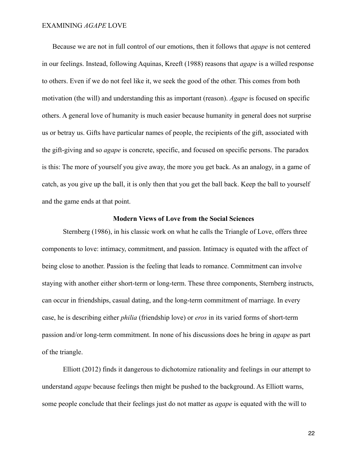Because we are not in full control of our emotions, then it follows that *agape* is not centered in our feelings. Instead, following Aquinas, Kreeft (1988) reasons that *agape* is a willed response to others. Even if we do not feel like it, we seek the good of the other. This comes from both motivation (the will) and understanding this as important (reason). *Agape* is focused on specific others. A general love of humanity is much easier because humanity in general does not surprise us or betray us. Gifts have particular names of people, the recipients of the gift, associated with the gift-giving and so *agape* is concrete, specific, and focused on specific persons. The paradox is this: The more of yourself you give away, the more you get back. As an analogy, in a game of catch, as you give up the ball, it is only then that you get the ball back. Keep the ball to yourself and the game ends at that point.

#### **Modern Views of Love from the Social Sciences**

Sternberg (1986), in his classic work on what he calls the Triangle of Love, offers three components to love: intimacy, commitment, and passion. Intimacy is equated with the affect of being close to another. Passion is the feeling that leads to romance. Commitment can involve staying with another either short-term or long-term. These three components, Sternberg instructs, can occur in friendships, casual dating, and the long-term commitment of marriage. In every case, he is describing either *philia* (friendship love) or *eros* in its varied forms of short-term passion and/or long-term commitment. In none of his discussions does he bring in *agape* as part of the triangle.

Elliott (2012) finds it dangerous to dichotomize rationality and feelings in our attempt to understand *agape* because feelings then might be pushed to the background. As Elliott warns, some people conclude that their feelings just do not matter as *agape* is equated with the will to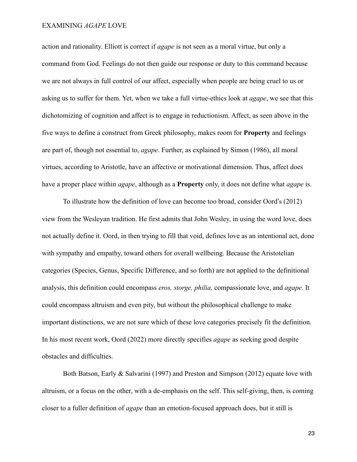action and rationality. Elliott is correct if *agape* is not seen as a moral virtue, but only a command from God. Feelings do not then guide our response or duty to this command because we are not always in full control of our affect, especially when people are being cruel to us or asking us to suffer for them. Yet, when we take a full virtue-ethics look at *agape*, we see that this dichotomizing of cognition and affect is to engage in reductionism. Affect, as seen above in the five ways to define a construct from Greek philosophy, makes room for **Property** and feelings are part of, though not essential to, *agape*. Further, as explained by Simon (1986), all moral virtues, according to Aristotle, have an affective or motivational dimension. Thus, affect does have a proper place within *agape*, although as a **Property** only, it does not define what *agape* is.

To illustrate how the definition of love can become too broad, consider Oord's (2012) view from the Wesleyan tradition. He first admits that John Wesley, in using the word love, does not actually define it. Oord, in then trying to fill that void, defines love as an intentional act, done with sympathy and empathy, toward others for overall wellbeing. Because the Aristotelian categories (Species, Genus, Specific Difference, and so forth) are not applied to the definitional analysis, this definition could encompass *eros, storge, philia,* compassionate love, and *agape*. It could encompass altruism and even pity, but without the philosophical challenge to make important distinctions, we are not sure which of these love categories precisely fit the definition. In his most recent work, Oord (2022) more directly specifies *agape* as seeking good despite obstacles and difficulties.

Both Batson, Early & Salvarini (1997) and Preston and Simpson (2012) equate love with altruism, or a focus on the other, with a de-emphasis on the self. This self-giving, then, is coming closer to a fuller definition of *agape* than an emotion-focused approach does, but it still is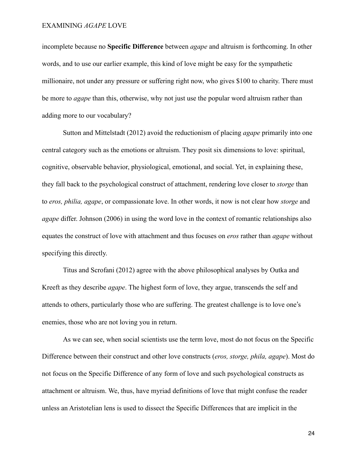incomplete because no **Specific Difference** between *agape* and altruism is forthcoming. In other words, and to use our earlier example, this kind of love might be easy for the sympathetic millionaire, not under any pressure or suffering right now, who gives \$100 to charity. There must be more to *agape* than this, otherwise, why not just use the popular word altruism rather than adding more to our vocabulary?

Sutton and Mittelstadt (2012) avoid the reductionism of placing *agape* primarily into one central category such as the emotions or altruism. They posit six dimensions to love: spiritual, cognitive, observable behavior, physiological, emotional, and social. Yet, in explaining these, they fall back to the psychological construct of attachment, rendering love closer to *storge* than to *eros, philia, agape*, or compassionate love. In other words, it now is not clear how *storge* and *agape* differ. Johnson (2006) in using the word love in the context of romantic relationships also equates the construct of love with attachment and thus focuses on *eros* rather than *agape* without specifying this directly.

Titus and Scrofani (2012) agree with the above philosophical analyses by Outka and Kreeft as they describe *agape*. The highest form of love, they argue, transcends the self and attends to others, particularly those who are suffering. The greatest challenge is to love one's enemies, those who are not loving you in return.

As we can see, when social scientists use the term love, most do not focus on the Specific Difference between their construct and other love constructs (*eros, storge, phila, agape*). Most do not focus on the Specific Difference of any form of love and such psychological constructs as attachment or altruism. We, thus, have myriad definitions of love that might confuse the reader unless an Aristotelian lens is used to dissect the Specific Differences that are implicit in the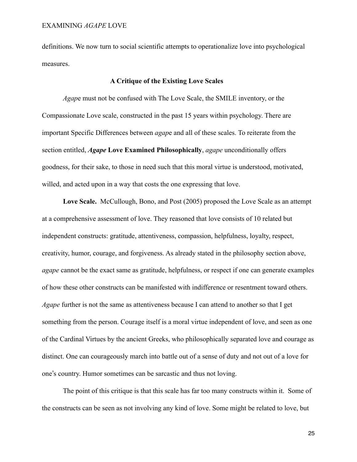definitions. We now turn to social scientific attempts to operationalize love into psychological measures.

# **A Critique of the Existing Love Scales**

*Agap*e must not be confused with The Love Scale, the SMILE inventory, or the Compassionate Love scale, constructed in the past 15 years within psychology. There are important Specific Differences between *agap*e and all of these scales. To reiterate from the section entitled, *Agape* **Love Examined Philosophically**, *agape* unconditionally offers goodness, for their sake, to those in need such that this moral virtue is understood, motivated, willed, and acted upon in a way that costs the one expressing that love.

**Love Scale.** McCullough, Bono, and Post (2005) proposed the Love Scale as an attempt at a comprehensive assessment of love. They reasoned that love consists of 10 related but independent constructs: gratitude, attentiveness, compassion, helpfulness, loyalty, respect, creativity, humor, courage, and forgiveness. As already stated in the philosophy section above, *agape* cannot be the exact same as gratitude, helpfulness, or respect if one can generate examples of how these other constructs can be manifested with indifference or resentment toward others. *Agape* further is not the same as attentiveness because I can attend to another so that I get something from the person. Courage itself is a moral virtue independent of love, and seen as one of the Cardinal Virtues by the ancient Greeks, who philosophically separated love and courage as distinct. One can courageously march into battle out of a sense of duty and not out of a love for one's country. Humor sometimes can be sarcastic and thus not loving.

The point of this critique is that this scale has far too many constructs within it. Some of the constructs can be seen as not involving any kind of love. Some might be related to love, but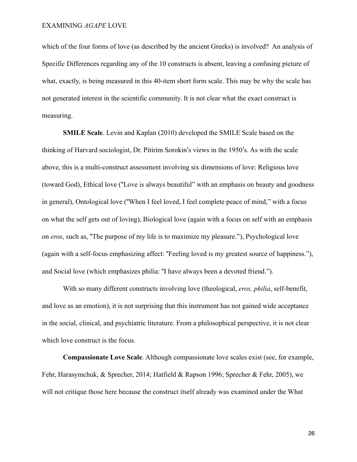which of the four forms of love (as described by the ancient Greeks) is involved? An analysis of Specific Differences regarding any of the 10 constructs is absent, leaving a confusing picture of what, exactly, is being measured in this 40-item short form scale. This may be why the scale has not generated interest in the scientific community. It is not clear what the exact construct is measuring.

**SMILE Scale**. Levin and Kaplan (2010) developed the SMILE Scale based on the thinking of Harvard sociologist, Dr. Pitirim Sorokin's views in the 1950's. As with the scale above, this is a multi-construct assessment involving six dimensions of love: Religious love (toward God), Ethical love ("Love is always beautiful" with an emphasis on beauty and goodness in general), Ontological love ("When I feel loved, I feel complete peace of mind," with a focus on what the self gets out of loving), Biological love (again with a focus on self with an emphasis on *eros*, such as, "The purpose of my life is to maximize my pleasure."), Psychological love (again with a self-focus emphasizing affect: "Feeling loved is my greatest source of happiness."), and Social love (which emphasizes philia: "I have always been a devoted friend.").

With so many different constructs involving love (theological, *eros, philia*, self-benefit, and love as an emotion), it is not surprising that this instrument has not gained wide acceptance in the social, clinical, and psychiatric literature. From a philosophical perspective, it is not clear which love construct is the focus.

**Compassionate Love Scale**. Although compassionate love scales exist (see, for example, Fehr, Harasymchuk, & Sprecher, 2014; Hatfield & Rapson 1996; Sprecher & Fehr, 2005), we will not critique those here because the construct itself already was examined under the What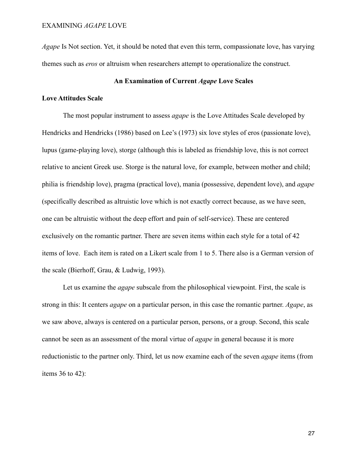*Agape* Is Not section. Yet, it should be noted that even this term, compassionate love, has varying themes such as *eros* or altruism when researchers attempt to operationalize the construct.

# **An Examination of Current** *Agape* **Love Scales**

#### **Love Attitudes Scale**

The most popular instrument to assess *agape* is the Love Attitudes Scale developed by Hendricks and Hendricks (1986) based on Lee's (1973) six love styles of eros (passionate love), lupus (game-playing love), storge (although this is labeled as friendship love, this is not correct relative to ancient Greek use. Storge is the natural love, for example, between mother and child; philia is friendship love), pragma (practical love), mania (possessive, dependent love), and *agape* (specifically described as altruistic love which is not exactly correct because, as we have seen, one can be altruistic without the deep effort and pain of self-service). These are centered exclusively on the romantic partner. There are seven items within each style for a total of 42 items of love. Each item is rated on a Likert scale from 1 to 5. There also is a German version of the scale (Bierhoff, Grau, & Ludwig, 1993).

Let us examine the *agape* subscale from the philosophical viewpoint. First, the scale is strong in this: It centers *agape* on a particular person, in this case the romantic partner. *Agape*, as we saw above, always is centered on a particular person, persons, or a group. Second, this scale cannot be seen as an assessment of the moral virtue of *agape* in general because it is more reductionistic to the partner only. Third, let us now examine each of the seven *agape* items (from items 36 to 42):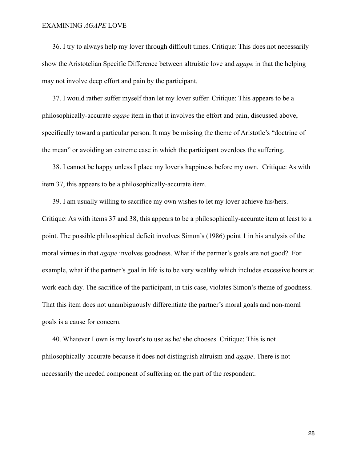36. I try to always help my lover through difficult times. Critique: This does not necessarily show the Aristotelian Specific Difference between altruistic love and *agape* in that the helping may not involve deep effort and pain by the participant.

37. I would rather suffer myself than let my lover suffer. Critique: This appears to be a philosophically-accurate *agape* item in that it involves the effort and pain, discussed above, specifically toward a particular person. It may be missing the theme of Aristotle's "doctrine of the mean" or avoiding an extreme case in which the participant overdoes the suffering.

38. I cannot be happy unless I place my lover's happiness before my own. Critique: As with item 37, this appears to be a philosophically-accurate item.

39. I am usually willing to sacrifice my own wishes to let my lover achieve his/hers. Critique: As with items 37 and 38, this appears to be a philosophically-accurate item at least to a point. The possible philosophical deficit involves Simon's (1986) point 1 in his analysis of the moral virtues in that *agape* involves goodness. What if the partner's goals are not good? For example, what if the partner's goal in life is to be very wealthy which includes excessive hours at work each day. The sacrifice of the participant, in this case, violates Simon's theme of goodness. That this item does not unambiguously differentiate the partner's moral goals and non-moral goals is a cause for concern.

40. Whatever I own is my lover's to use as he/ she chooses. Critique: This is not philosophically-accurate because it does not distinguish altruism and *agape*. There is not necessarily the needed component of suffering on the part of the respondent.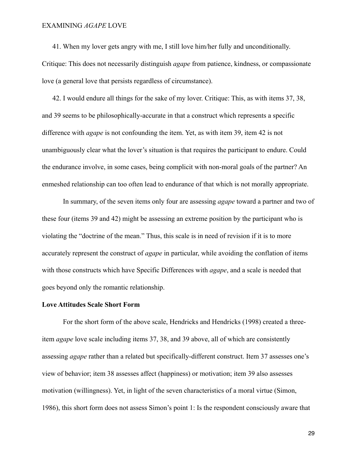41. When my lover gets angry with me, I still love him/her fully and unconditionally. Critique: This does not necessarily distinguish *agape* from patience, kindness, or compassionate love (a general love that persists regardless of circumstance).

42. I would endure all things for the sake of my lover. Critique: This, as with items 37, 38, and 39 seems to be philosophically-accurate in that a construct which represents a specific difference with *agape* is not confounding the item. Yet, as with item 39, item 42 is not unambiguously clear what the lover's situation is that requires the participant to endure. Could the endurance involve, in some cases, being complicit with non-moral goals of the partner? An enmeshed relationship can too often lead to endurance of that which is not morally appropriate.

In summary, of the seven items only four are assessing *agape* toward a partner and two of these four (items 39 and 42) might be assessing an extreme position by the participant who is violating the "doctrine of the mean." Thus, this scale is in need of revision if it is to more accurately represent the construct of *agape* in particular, while avoiding the conflation of items with those constructs which have Specific Differences with *agape*, and a scale is needed that goes beyond only the romantic relationship.

#### **Love Attitudes Scale Short Form**

For the short form of the above scale, Hendricks and Hendricks (1998) created a threeitem *agape* love scale including items 37, 38, and 39 above, all of which are consistently assessing *agape* rather than a related but specifically-different construct. Item 37 assesses one's view of behavior; item 38 assesses affect (happiness) or motivation; item 39 also assesses motivation (willingness). Yet, in light of the seven characteristics of a moral virtue (Simon, 1986), this short form does not assess Simon's point 1: Is the respondent consciously aware that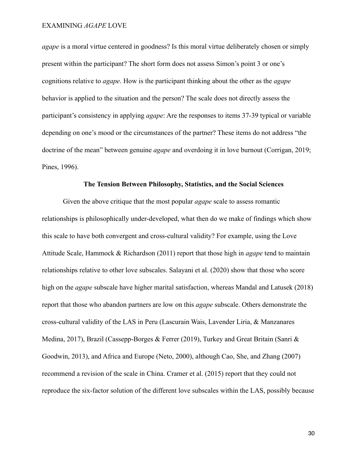*agape* is a moral virtue centered in goodness? Is this moral virtue deliberately chosen or simply present within the participant? The short form does not assess Simon's point 3 or one's cognitions relative to *agape*. How is the participant thinking about the other as the *agape* behavior is applied to the situation and the person? The scale does not directly assess the participant's consistency in applying *agape*: Are the responses to items 37-39 typical or variable depending on one's mood or the circumstances of the partner? These items do not address "the doctrine of the mean" between genuine *agape* and overdoing it in love burnout (Corrigan, 2019; Pines, 1996).

#### **The Tension Between Philosophy, Statistics, and the Social Sciences**

Given the above critique that the most popular *agape* scale to assess romantic relationships is philosophically under-developed, what then do we make of findings which show this scale to have both convergent and cross-cultural validity? For example, using the Love Attitude Scale, Hammock & Richardson (2011) report that those high in *agape* tend to maintain relationships relative to other love subscales. Salayani et al. (2020) show that those who score high on the *agape* subscale have higher marital satisfaction, whereas Mandal and Latusek (2018) report that those who abandon partners are low on this *agape* subscale. Others demonstrate the cross-cultural validity of the LAS in Peru (Lascurain Wais, Lavender Liria, & Manzanares Medina, 2017), Brazil (Cassepp-Borges & Ferrer (2019), Turkey and Great Britain (Sanri & Goodwin, 2013), and Africa and Europe (Neto, 2000), although Cao, She, and Zhang (2007) recommend a revision of the scale in China. Cramer et al. (2015) report that they could not reproduce the six-factor solution of the different love subscales within the LAS, possibly because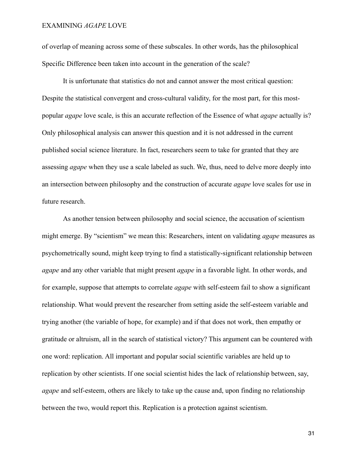of overlap of meaning across some of these subscales. In other words, has the philosophical Specific Difference been taken into account in the generation of the scale?

It is unfortunate that statistics do not and cannot answer the most critical question: Despite the statistical convergent and cross-cultural validity, for the most part, for this mostpopular *agape* love scale, is this an accurate reflection of the Essence of what *agape* actually is? Only philosophical analysis can answer this question and it is not addressed in the current published social science literature. In fact, researchers seem to take for granted that they are assessing *agape* when they use a scale labeled as such. We, thus, need to delve more deeply into an intersection between philosophy and the construction of accurate *agape* love scales for use in future research.

As another tension between philosophy and social science, the accusation of scientism might emerge. By "scientism" we mean this: Researchers, intent on validating *agape* measures as psychometrically sound, might keep trying to find a statistically-significant relationship between *agape* and any other variable that might present *agape* in a favorable light. In other words, and for example, suppose that attempts to correlate *agape* with self-esteem fail to show a significant relationship. What would prevent the researcher from setting aside the self-esteem variable and trying another (the variable of hope, for example) and if that does not work, then empathy or gratitude or altruism, all in the search of statistical victory? This argument can be countered with one word: replication. All important and popular social scientific variables are held up to replication by other scientists. If one social scientist hides the lack of relationship between, say, *agape* and self-esteem, others are likely to take up the cause and, upon finding no relationship between the two, would report this. Replication is a protection against scientism.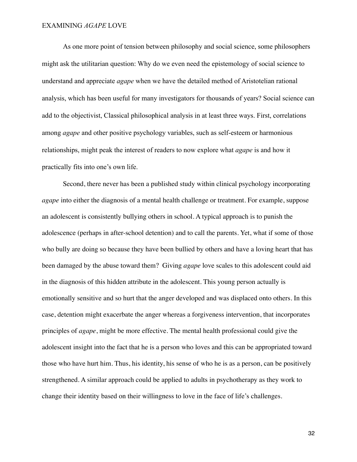As one more point of tension between philosophy and social science, some philosophers might ask the utilitarian question: Why do we even need the epistemology of social science to understand and appreciate *agape* when we have the detailed method of Aristotelian rational analysis, which has been useful for many investigators for thousands of years? Social science can add to the objectivist, Classical philosophical analysis in at least three ways. First, correlations among *agape* and other positive psychology variables, such as self-esteem or harmonious relationships, might peak the interest of readers to now explore what *agape* is and how it practically fits into one's own life.

Second, there never has been a published study within clinical psychology incorporating *agape* into either the diagnosis of a mental health challenge or treatment. For example, suppose an adolescent is consistently bullying others in school. A typical approach is to punish the adolescence (perhaps in after-school detention) and to call the parents. Yet, what if some of those who bully are doing so because they have been bullied by others and have a loving heart that has been damaged by the abuse toward them? Giving *agape* love scales to this adolescent could aid in the diagnosis of this hidden attribute in the adolescent. This young person actually is emotionally sensitive and so hurt that the anger developed and was displaced onto others. In this case, detention might exacerbate the anger whereas a forgiveness intervention, that incorporates principles of *agape*, might be more effective. The mental health professional could give the adolescent insight into the fact that he is a person who loves and this can be appropriated toward those who have hurt him. Thus, his identity, his sense of who he is as a person, can be positively strengthened. A similar approach could be applied to adults in psychotherapy as they work to change their identity based on their willingness to love in the face of life's challenges.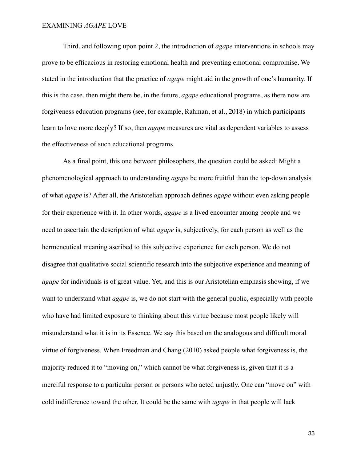Third, and following upon point 2, the introduction of *agape* interventions in schools may prove to be efficacious in restoring emotional health and preventing emotional compromise. We stated in the introduction that the practice of *agape* might aid in the growth of one's humanity. If this is the case, then might there be, in the future, *agape* educational programs, as there now are forgiveness education programs (see, for example, Rahman, et al., 2018) in which participants learn to love more deeply? If so, then *agape* measures are vital as dependent variables to assess the effectiveness of such educational programs.

As a final point, this one between philosophers, the question could be asked: Might a phenomenological approach to understanding *agape* be more fruitful than the top-down analysis of what *agape* is? After all, the Aristotelian approach defines *agape* without even asking people for their experience with it. In other words, *agape* is a lived encounter among people and we need to ascertain the description of what *agape* is, subjectively, for each person as well as the hermeneutical meaning ascribed to this subjective experience for each person. We do not disagree that qualitative social scientific research into the subjective experience and meaning of *agape* for individuals is of great value. Yet, and this is our Aristotelian emphasis showing, if we want to understand what *agape* is, we do not start with the general public, especially with people who have had limited exposure to thinking about this virtue because most people likely will misunderstand what it is in its Essence. We say this based on the analogous and difficult moral virtue of forgiveness. When Freedman and Chang (2010) asked people what forgiveness is, the majority reduced it to "moving on," which cannot be what forgiveness is, given that it is a merciful response to a particular person or persons who acted unjustly. One can "move on" with cold indifference toward the other. It could be the same with *agape* in that people will lack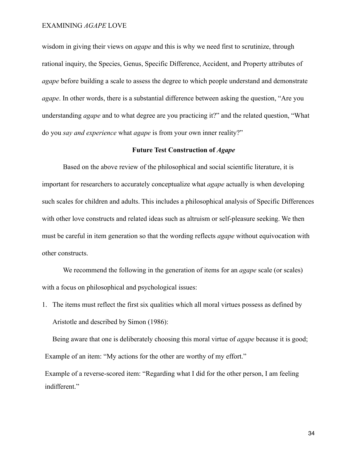wisdom in giving their views on *agape* and this is why we need first to scrutinize, through rational inquiry, the Species, Genus, Specific Difference, Accident, and Property attributes of *agape* before building a scale to assess the degree to which people understand and demonstrate *agape*. In other words, there is a substantial difference between asking the question, "Are you understanding *agape* and to what degree are you practicing it?" and the related question, "What do you *say and experience* what *agape* is from your own inner reality?"

#### **Future Test Construction of** *Agape*

Based on the above review of the philosophical and social scientific literature, it is important for researchers to accurately conceptualize what *agape* actually is when developing such scales for children and adults. This includes a philosophical analysis of Specific Differences with other love constructs and related ideas such as altruism or self-pleasure seeking. We then must be careful in item generation so that the wording reflects *agape* without equivocation with other constructs.

We recommend the following in the generation of items for an *agape* scale (or scales) with a focus on philosophical and psychological issues:

1. The items must reflect the first six qualities which all moral virtues possess as defined by Aristotle and described by Simon (1986):

Being aware that one is deliberately choosing this moral virtue of *agape* because it is good; Example of an item: "My actions for the other are worthy of my effort."

Example of a reverse-scored item: "Regarding what I did for the other person, I am feeling indifferent."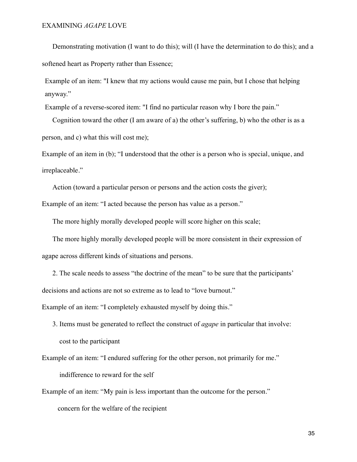Demonstrating motivation (I want to do this); will (I have the determination to do this); and a softened heart as Property rather than Essence;

Example of an item: "I knew that my actions would cause me pain, but I chose that helping anyway."

Example of a reverse-scored item: "I find no particular reason why I bore the pain."

Cognition toward the other (I am aware of a) the other's suffering, b) who the other is as a person, and c) what this will cost me);

Example of an item in (b); "I understood that the other is a person who is special, unique, and irreplaceable."

Action (toward a particular person or persons and the action costs the giver);

Example of an item: "I acted because the person has value as a person."

The more highly morally developed people will score higher on this scale;

The more highly morally developed people will be more consistent in their expression of agape across different kinds of situations and persons.

2. The scale needs to assess "the doctrine of the mean" to be sure that the participants' decisions and actions are not so extreme as to lead to "love burnout."

Example of an item: "I completely exhausted myself by doing this."

3. Items must be generated to reflect the construct of *agape* in particular that involve: cost to the participant

Example of an item: "I endured suffering for the other person, not primarily for me." indifference to reward for the self

Example of an item: "My pain is less important than the outcome for the person." concern for the welfare of the recipient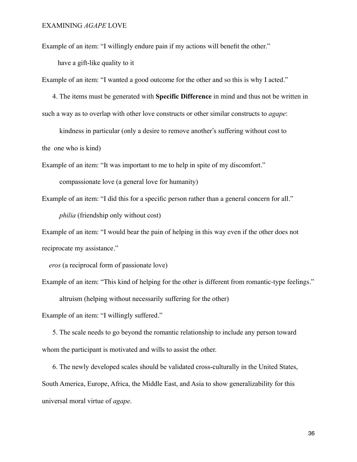Example of an item: "I willingly endure pain if my actions will benefit the other."

have a gift-like quality to it

Example of an item: "I wanted a good outcome for the other and so this is why I acted."

4. The items must be generated with **Specific Difference** in mind and thus not be written in such a way as to overlap with other love constructs or other similar constructs to *agape*:

 kindness in particular (only a desire to remove another's suffering without cost to the one who is kind)

Example of an item: "It was important to me to help in spite of my discomfort."

compassionate love (a general love for humanity)

Example of an item: "I did this for a specific person rather than a general concern for all." *philia* (friendship only without cost)

Example of an item: "I would bear the pain of helping in this way even if the other does not reciprocate my assistance."

*eros* (a reciprocal form of passionate love)

Example of an item: "This kind of helping for the other is different from romantic-type feelings." altruism (helping without necessarily suffering for the other)

Example of an item: "I willingly suffered."

5. The scale needs to go beyond the romantic relationship to include any person toward whom the participant is motivated and wills to assist the other.

6. The newly developed scales should be validated cross-culturally in the United States, South America, Europe, Africa, the Middle East, and Asia to show generalizability for this universal moral virtue of *agape*.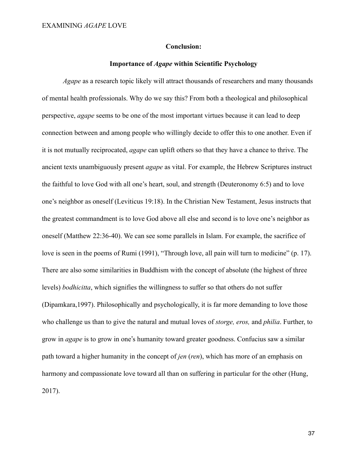#### **Conclusion:**

#### **Importance of** *Agape* **within Scientific Psychology**

*Agape* as a research topic likely will attract thousands of researchers and many thousands of mental health professionals. Why do we say this? From both a theological and philosophical perspective, *agape* seems to be one of the most important virtues because it can lead to deep connection between and among people who willingly decide to offer this to one another. Even if it is not mutually reciprocated, *agape* can uplift others so that they have a chance to thrive. The ancient texts unambiguously present *agape* as vital. For example, the Hebrew Scriptures instruct the faithful to love God with all one's heart, soul, and strength (Deuteronomy 6:5) and to love one's neighbor as oneself (Leviticus 19:18). In the Christian New Testament, Jesus instructs that the greatest commandment is to love God above all else and second is to love one's neighbor as oneself (Matthew 22:36-40). We can see some parallels in Islam. For example, the sacrifice of love is seen in the poems of Rumi (1991), "Through love, all pain will turn to medicine" (p. 17). There are also some similarities in Buddhism with the concept of absolute (the highest of three levels) *bodhicitta*, which signifies the willingness to suffer so that others do not suffer (Dipamkara,1997). Philosophically and psychologically, it is far more demanding to love those who challenge us than to give the natural and mutual loves of *storge, eros,* and *philia*. Further, to grow in *agape* is to grow in one's humanity toward greater goodness. Confucius saw a similar path toward a higher humanity in the concept of *jen* (*ren*), which has more of an emphasis on harmony and compassionate love toward all than on suffering in particular for the other (Hung, 2017).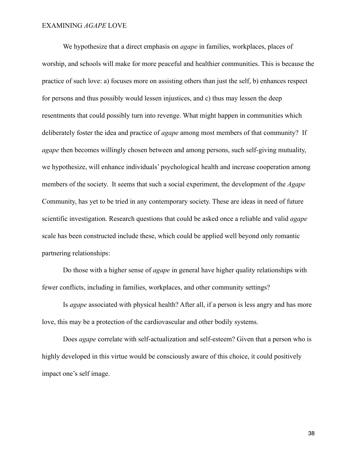We hypothesize that a direct emphasis on *agape* in families, workplaces, places of worship, and schools will make for more peaceful and healthier communities. This is because the practice of such love: a) focuses more on assisting others than just the self, b) enhances respect for persons and thus possibly would lessen injustices, and c) thus may lessen the deep resentments that could possibly turn into revenge. What might happen in communities which deliberately foster the idea and practice of *agape* among most members of that community? If *agape* then becomes willingly chosen between and among persons, such self-giving mutuality, we hypothesize, will enhance individuals' psychological health and increase cooperation among members of the society. It seems that such a social experiment, the development of the *Agape* Community, has yet to be tried in any contemporary society. These are ideas in need of future scientific investigation. Research questions that could be asked once a reliable and valid *agape* scale has been constructed include these, which could be applied well beyond only romantic partnering relationships:

Do those with a higher sense of *agape* in general have higher quality relationships with fewer conflicts, including in families, workplaces, and other community settings?

Is *agape* associated with physical health? After all, if a person is less angry and has more love, this may be a protection of the cardiovascular and other bodily systems.

Does *agape* correlate with self-actualization and self-esteem? Given that a person who is highly developed in this virtue would be consciously aware of this choice, it could positively impact one's self image.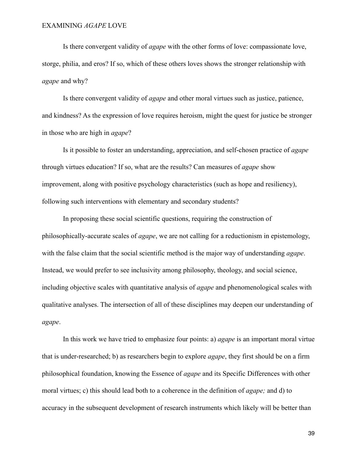Is there convergent validity of *agape* with the other forms of love: compassionate love, storge, philia, and eros? If so, which of these others loves shows the stronger relationship with *agape* and why?

Is there convergent validity of *agape* and other moral virtues such as justice, patience, and kindness? As the expression of love requires heroism, might the quest for justice be stronger in those who are high in *agape*?

Is it possible to foster an understanding, appreciation, and self-chosen practice of *agape*  through virtues education? If so, what are the results? Can measures of *agape* show improvement, along with positive psychology characteristics (such as hope and resiliency), following such interventions with elementary and secondary students?

In proposing these social scientific questions, requiring the construction of philosophically-accurate scales of *agape*, we are not calling for a reductionism in epistemology, with the false claim that the social scientific method is the major way of understanding *agape*. Instead, we would prefer to see inclusivity among philosophy, theology, and social science, including objective scales with quantitative analysis of *agape* and phenomenological scales with qualitative analyses. The intersection of all of these disciplines may deepen our understanding of *agape*.

In this work we have tried to emphasize four points: a) *agape* is an important moral virtue that is under-researched; b) as researchers begin to explore *agape*, they first should be on a firm philosophical foundation, knowing the Essence of *agape* and its Specific Differences with other moral virtues; c) this should lead both to a coherence in the definition of *agape;* and d) to accuracy in the subsequent development of research instruments which likely will be better than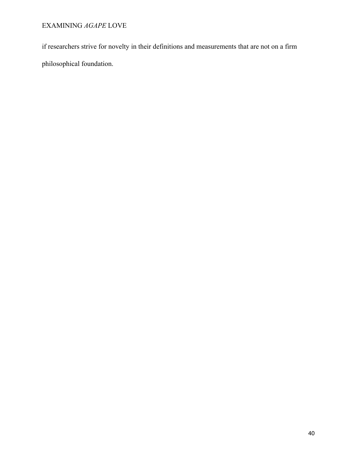if researchers strive for novelty in their definitions and measurements that are not on a firm philosophical foundation.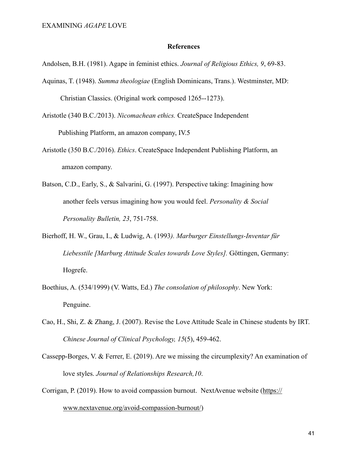#### **References**

Andolsen, B.H. (1981). Agape in feminist ethics. *Journal of Religious Ethics, 9*, 69-83.

Aquinas, T. (1948). *Summa theologiae* (English Dominicans, Trans.). Westminster, MD: Christian Classics. (Original work composed 1265--1273).

Aristotle (340 B.C./2013). *Nicomachean ethics.* CreateSpace Independent

Publishing Platform, an amazon company, IV.5

- Aristotle (350 B.C./2016). *Ethics*. CreateSpace Independent Publishing Platform, an amazon company.
- Batson, C.D., Early, S., & Salvarini, G. (1997). Perspective taking: Imagining how another feels versus imagining how you would feel. *Personality & Social Personality Bulletin, 23*, 751-758.
- Bierhoff, H. W., Grau, I., & Ludwig, A. (1993*). Marburger Einstellungs-Inventar für Liebesstile [Marburg Attitude Scales towards Love Styles].* Göttingen, Germany: Hogrefe.
- Boethius, A. (534/1999) (V. Watts, Ed.) *The consolation of philosophy*. New York: Penguine.
- Cao, H., Shi, Z. & Zhang, J. (2007). Revise the Love Attitude Scale in Chinese students by IRT. *Chinese Journal of Clinical Psychology, 15*(5), 459-462.
- Cassepp-Borges, V. & Ferrer, E. (2019). Are we missing the circumplexity? An examination of love styles. *Journal of Relationships Research,10*.
- Corrigan, P. (2019). How to avoid compassion burnout. NextAvenue website ([https://](https://www.nextavenue.org/avoid-compassion-burnout/)

[www.nextavenue.org/avoid-compassion-burnout/\)](https://www.nextavenue.org/avoid-compassion-burnout/)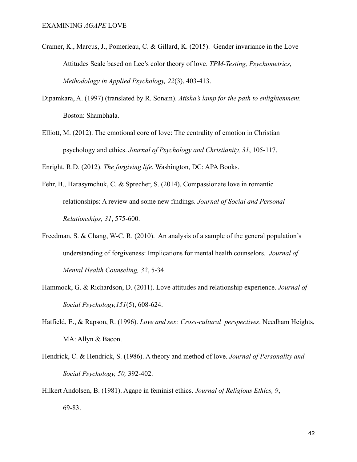- Cramer, K., Marcus, J., Pomerleau, C. & Gillard, K. (2015). Gender invariance in the Love Attitudes Scale based on Lee's color theory of love. *TPM-Testing, Psychometrics, Methodology in Applied Psychology, 22*(3), 403-413.
- Dipamkara, A. (1997) (translated by R. Sonam). *Atisha's lamp for the path to enlightenment.*  Boston: Shambhala.
- Elliott, M. (2012). The emotional core of love: The centrality of emotion in Christian psychology and ethics. *Journal of Psychology and Christianity, 31*, 105-117.

Enright, R.D. (2012). *The forgiving life*. Washington, DC: APA Books.

- Fehr, B., Harasymchuk, C. & Sprecher, S. (2014). Compassionate love in romantic relationships: A review and some new findings. *Journal of Social and Personal Relationships, 31*, 575-600.
- Freedman, S. & Chang, W-C. R. (2010). An analysis of a sample of the general population's understanding of forgiveness: Implications for mental health counselors. *Journal of Mental Health Counseling, 32*, 5-34.
- Hammock, G. & Richardson, D. (2011). Love attitudes and relationship experience. *Journal of Social Psychology,151*(5), 608-624.
- Hatfield, E., & Rapson, R. (1996). *Love and sex: Cross-cultural perspectives*. Needham Heights, MA: Allyn & Bacon.
- Hendrick, C. & Hendrick, S. (1986). A theory and method of love. *Journal of Personality and Social Psychology, 50,* 392-402.
- Hilkert Andolsen, B. (1981). Agape in feminist ethics. *Journal of Religious Ethics, 9*, 69-83.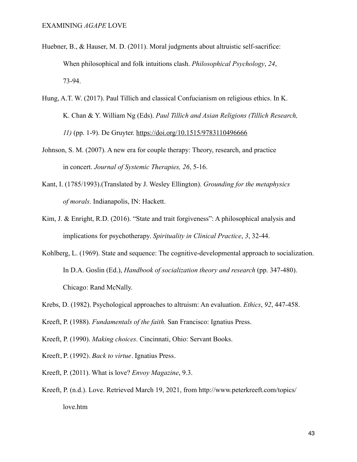- Huebner, B., & Hauser, M. D. (2011). Moral judgments about altruistic self-sacrifice: When philosophical and folk intuitions clash. *Philosophical Psychology*, *24*, 73-94.
- Hung, A.T. W. (2017). Paul Tillich and classical Confucianism on religious ethics. In K. K. Chan & Y. William Ng (Eds). *Paul Tillich and Asian Religions (Tillich Research, 11)* (pp. 1-9). De Gruyter. <https://doi.org/10.1515/9783110496666>
- Johnson, S. M. (2007). A new era for couple therapy: Theory, research, and practice in concert. *Journal of Systemic Therapies, 26*, 5-16.
- Kant, I. (1785/1993).(Translated by J. Wesley Ellington). *Grounding for the metaphysics of morals*. Indianapolis, IN: Hackett.
- Kim, J. & Enright, R.D. (2016). "State and trait forgiveness": A philosophical analysis and implications for psychotherapy. *Spirituality in Clinical Practice*, *3*, 32-44.
- Kohlberg, L. (1969). State and sequence: The cognitive-developmental approach to socialization. In D.A. Goslin (Ed.), *Handbook of socialization theory and research* (pp. 347-480). Chicago: Rand McNally.
- Krebs, D. (1982). Psychological approaches to altruism: An evaluation. *Ethics*, *92*, 447-458.
- Kreeft, P. (1988). *Fundamentals of the faith.* San Francisco: Ignatius Press.
- Kreeft, P. (1990). *Making choices*. Cincinnati, Ohio: Servant Books.
- Kreeft, P. (1992). *Back to virtue*. Ignatius Press.
- Kreeft, P. (2011). What is love? *Envoy Magazine*, 9.3.
- Kreeft, P. (n.d.). Love. Retrieved March 19, 2021, from http://www.peterkreeft.com/topics/ love.htm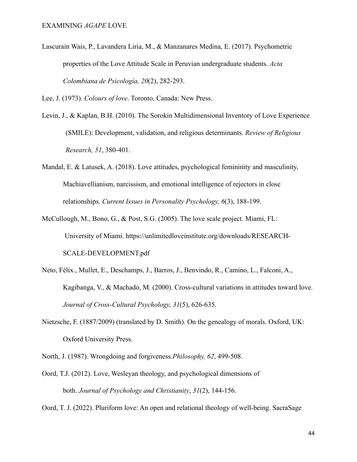Lascurain Wais, P., Lavandera Liria, M., & Manzanares Medina, E. (2017). Psychometric properties of the Love Attitude Scale in Peruvian undergraduate students. *Acta Colombiana de Psicología, 20*(2), 282-293.

Lee, J. (1973). *Colours of love*. Toronto, Canada: New Press.

- Levin, J., & Kaplan, B.H. (2010). The Sorokin Multidimensional Inventory of Love Experience (SMILE): Development, validation, and religious determinants. *Review of Religious Research, 51*, 380-401.
- Mandal, E. & Latusek, A. (2018). Love attitudes, psychological femininity and masculinity, Machiavellianism, narcissism, and emotional intelligence of rejectors in close relationships. *Current Issues in Personality Psychology, 6*(3), 188-199.
- McCullough, M., Bono, G., & Post, S.G. (2005). The love scale project. Miami, FL: University of Miami. [https://unlimitedloveinstitute.org/downloads/RESEARCH-](https://unlimitedloveinstitute.org/downloads/RESEARCH-SCALE-DEVELOPMENT.pdf)[SCALE-DEVELOPMENT.pdf](https://unlimitedloveinstitute.org/downloads/RESEARCH-SCALE-DEVELOPMENT.pdf)
- Neto, Félix., Mullet, E., Deschamps, J., Barros, J., Benvindo, R., Camino, L., Falconi, A., Kagibanga, V., & Machado, M. (2000). Cross-cultural variations in attitudes toward love. *Journal of Cross-Cultural Psychology, 31*(5), 626-635.
- Nietzsche, F. (1887/2009) (translated by D. Smith). On the genealogy of morals. Oxford, UK: Oxford University Press.
- North, J. (1987). Wrongdoing and forgiveness*.Philosophy, 62*, 499-508.
- Oord, T.J. (2012). Love, Wesleyan theology, and psychological dimensions of both. *Journal of Psychology and Christianity*, *31*(2), 144-156.

Oord, T. J. (2022). Pluriform love: An open and relational theology of well-being. SacraSage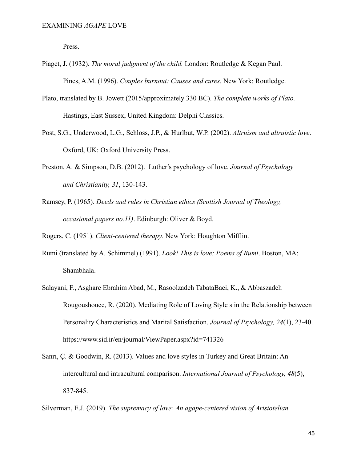Press.

- Piaget, J. (1932). *The moral judgment of the child.* London: Routledge & Kegan Paul. Pines, A.M. (1996). *Couples burnout: Causes and cures*. New York: Routledge.
- Plato, translated by B. Jowett (2015/approximately 330 BC). *The complete works of Plato.* Hastings, East Sussex, United Kingdom: Delphi Classics.
- Post, S.G., Underwood, L.G., Schloss, J.P., & Hurlbut, W.P. (2002). *Altruism and altruistic love*. Oxford, UK: Oxford University Press.
- Preston, A. & Simpson, D.B. (2012). Luther's psychology of love. *Journal of Psychology and Christianity, 31*, 130-143.
- Ramsey, P. (1965). *Deeds and rules in Christian ethics (Scottish Journal of Theology, occasional papers no.11)*. Edinburgh: Oliver & Boyd.

Rogers, C. (1951). *Client-centered therapy*. New York: Houghton Mifflin.

- Rumi (translated by A. Schimmel) (1991). *Look! This is love: Poems of Rumi*. Boston, MA: Shambhala.
- Salayani, F., Asghare Ebrahim Abad, M., Rasoolzadeh TabataBaei, K., & Abbaszadeh Rougoushouee, R. (2020). Mediating Role of Loving Style s in the Relationship between Personality Characteristics and Marital Satisfaction. *Journal of Psychology, 24*(1), 23-40. https://www.sid.ir/en/journal/ViewPaper.aspx?id=741326
- Sanrı, Ç. & Goodwin, R. (2013). Values and love styles in Turkey and Great Britain: An intercultural and intracultural comparison. *International Journal of Psychology, 48*(5), 837-845.

Silverman, E.J. (2019). *The supremacy of love: An agape-centered vision of Aristotelian*